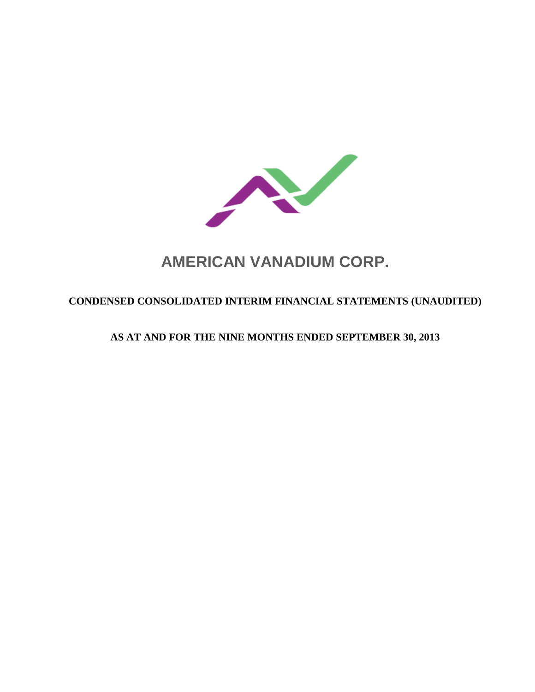

# **AMERICAN VANADIUM CORP.**

# **CONDENSED CONSOLIDATED INTERIM FINANCIAL STATEMENTS (UNAUDITED)**

# **AS AT AND FOR THE NINE MONTHS ENDED SEPTEMBER 30, 2013**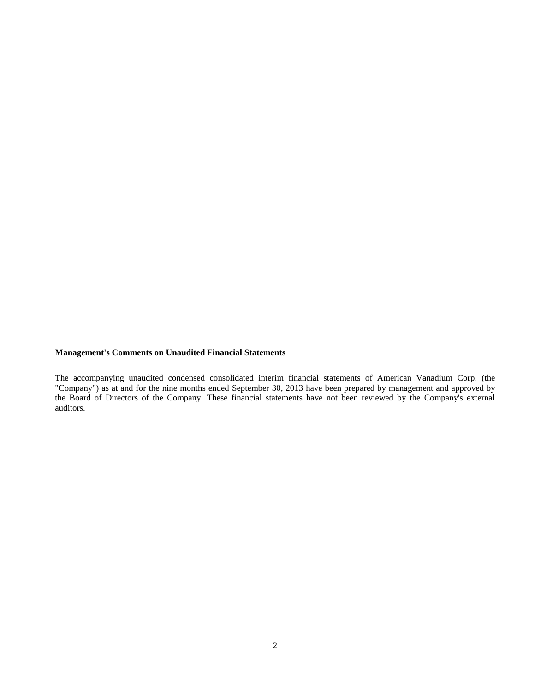# **Management's Comments on Unaudited Financial Statements**

The accompanying unaudited condensed consolidated interim financial statements of American Vanadium Corp. (the "Company") as at and for the nine months ended September 30, 2013 have been prepared by management and approved by the Board of Directors of the Company. These financial statements have not been reviewed by the Company's external auditors.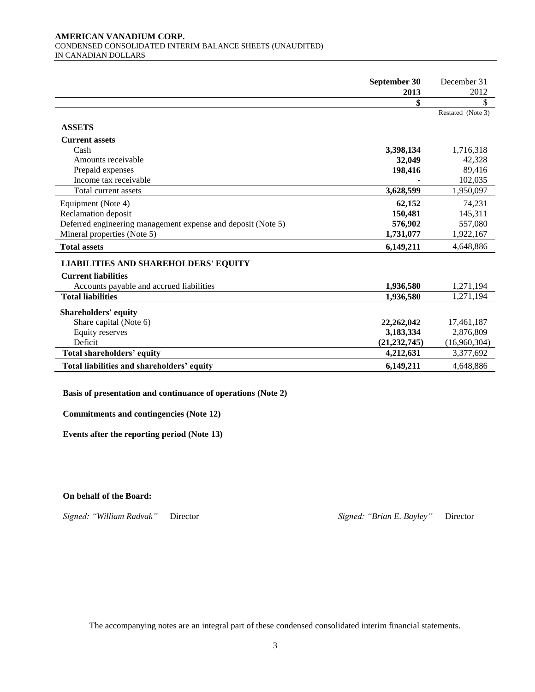#### **AMERICAN VANADIUM CORP.**  CONDENSED CONSOLIDATED INTERIM BALANCE SHEETS (UNAUDITED) IN CANADIAN DOLLARS

|                                                              | September 30   | December 31       |
|--------------------------------------------------------------|----------------|-------------------|
|                                                              | 2013           | 2012              |
|                                                              | \$             | \$                |
|                                                              |                | Restated (Note 3) |
| <b>ASSETS</b>                                                |                |                   |
| <b>Current assets</b>                                        |                |                   |
| Cash                                                         | 3,398,134      | 1,716,318         |
| Amounts receivable                                           | 32,049         | 42,328            |
| Prepaid expenses                                             | 198,416        | 89,416            |
| Income tax receivable                                        |                | 102,035           |
| Total current assets                                         | 3,628,599      | 1,950,097         |
| Equipment (Note 4)                                           | 62,152         | 74,231            |
| Reclamation deposit                                          | 150,481        | 145,311           |
| Deferred engineering management expense and deposit (Note 5) | 576,902        | 557,080           |
| Mineral properties (Note 5)                                  | 1,731,077      | 1,922,167         |
| <b>Total assets</b>                                          | 6,149,211      | 4,648,886         |
| <b>LIABILITIES AND SHAREHOLDERS' EQUITY</b>                  |                |                   |
| <b>Current liabilities</b>                                   |                |                   |
| Accounts payable and accrued liabilities                     | 1,936,580      | 1,271,194         |
| <b>Total liabilities</b>                                     | 1,936,580      | 1,271,194         |
|                                                              |                |                   |
| <b>Shareholders' equity</b>                                  |                |                   |
| Share capital (Note 6)                                       | 22,262,042     | 17,461,187        |
| <b>Equity reserves</b><br>Deficit                            | 3,183,334      | 2,876,809         |
|                                                              | (21, 232, 745) | (16,960,304)      |
| <b>Total shareholders' equity</b>                            | 4,212,631      | 3,377,692         |
| Total liabilities and shareholders' equity                   | 6,149,211      | 4,648,886         |

### **Basis of presentation and continuance of operations (Note 2)**

**Commitments and contingencies (Note 12)**

**Events after the reporting period (Note 13)**

**On behalf of the Board:**

*Signed: "William Radvak"* Director *Signed: "Brian E. Bayley"* Director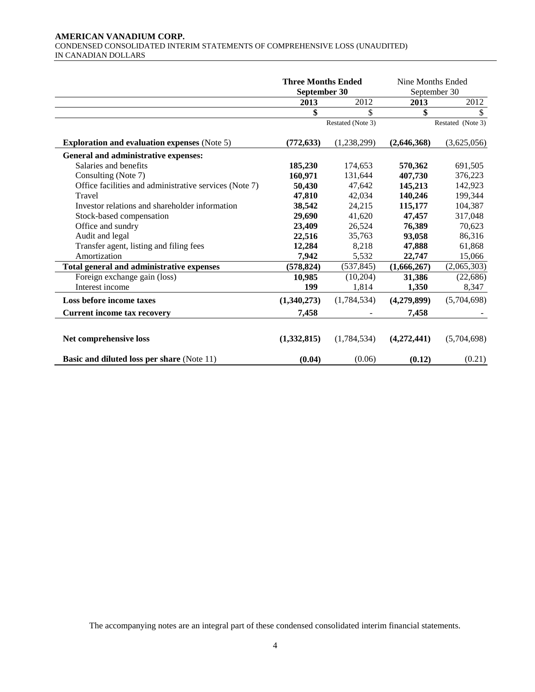#### **AMERICAN VANADIUM CORP.**  CONDENSED CONSOLIDATED INTERIM STATEMENTS OF COMPREHENSIVE LOSS (UNAUDITED) IN CANADIAN DOLLARS

|                                                        | <b>Three Months Ended</b><br>September 30 |                   | Nine Months Ended<br>September 30 |                   |
|--------------------------------------------------------|-------------------------------------------|-------------------|-----------------------------------|-------------------|
|                                                        | 2013                                      | 2012              | 2013                              | 2012              |
|                                                        | \$                                        | \$                | \$                                | \$                |
|                                                        |                                           | Restated (Note 3) |                                   | Restated (Note 3) |
| <b>Exploration and evaluation expenses (Note 5)</b>    | (772, 633)                                | (1,238,299)       | (2,646,368)                       | (3,625,056)       |
| General and administrative expenses:                   |                                           |                   |                                   |                   |
| Salaries and benefits                                  | 185,230                                   | 174,653           | 570,362                           | 691,505           |
| Consulting (Note 7)                                    | 160,971                                   | 131,644           | 407,730                           | 376,223           |
| Office facilities and administrative services (Note 7) | 50,430                                    | 47,642            | 145,213                           | 142,923           |
| Travel                                                 | 47,810                                    | 42,034            | 140,246                           | 199,344           |
| Investor relations and shareholder information         | 38,542                                    | 24,215            | 115,177                           | 104,387           |
| Stock-based compensation                               | 29,690                                    | 41,620            | 47,457                            | 317,048           |
| Office and sundry                                      | 23,409                                    | 26,524            | 76,389                            | 70,623            |
| Audit and legal                                        | 22,516                                    | 35,763            | 93,058                            | 86,316            |
| Transfer agent, listing and filing fees                | 12,284                                    | 8,218             | 47,888                            | 61,868            |
| Amortization                                           | 7,942                                     | 5,532             | 22,747                            | 15,066            |
| Total general and administrative expenses              | (578, 824)                                | (537, 845)        | (1,666,267)                       | (2,065,303)       |
| Foreign exchange gain (loss)                           | 10,985                                    | (10,204)          | 31,386                            | (22, 686)         |
| Interest income                                        | 199                                       | 1,814             | 1,350                             | 8,347             |
| Loss before income taxes                               | (1,340,273)                               | (1,784,534)       | (4,279,899)                       | (5,704,698)       |
| <b>Current income tax recovery</b>                     | 7,458                                     |                   | 7,458                             |                   |
| Net comprehensive loss                                 | (1,332,815)                               | (1,784,534)       | (4,272,441)                       | (5,704,698)       |
| Basic and diluted loss per share (Note 11)             | (0.04)                                    | (0.06)            | (0.12)                            | (0.21)            |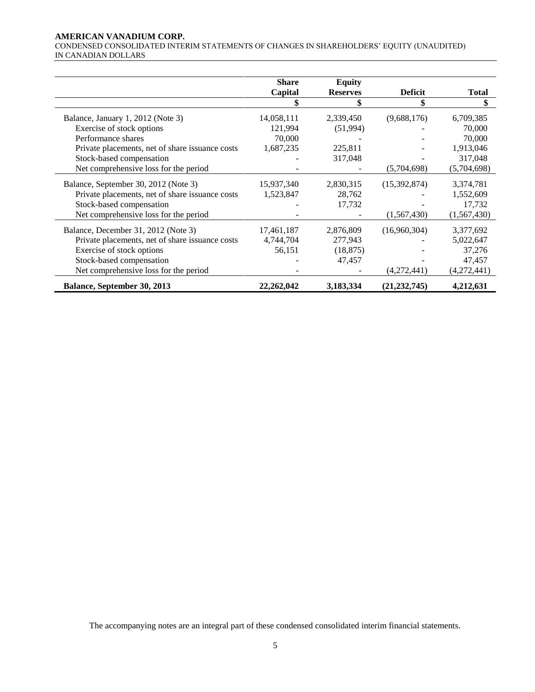#### **AMERICAN VANADIUM CORP.**

CONDENSED CONSOLIDATED INTERIM STATEMENTS OF CHANGES IN SHAREHOLDERS' EQUITY (UNAUDITED) IN CANADIAN DOLLARS

|                                                 | <b>Share</b> | <b>Equity</b>   |                |              |
|-------------------------------------------------|--------------|-----------------|----------------|--------------|
|                                                 | Capital      | <b>Reserves</b> | <b>Deficit</b> | <b>Total</b> |
|                                                 |              |                 | \$             | S            |
| Balance, January 1, 2012 (Note 3)               | 14,058,111   | 2,339,450       | (9,688,176)    | 6,709,385    |
| Exercise of stock options                       | 121,994      | (51,994)        |                | 70,000       |
| Performance shares                              | 70,000       |                 |                | 70,000       |
| Private placements, net of share issuance costs | 1,687,235    | 225,811         |                | 1,913,046    |
| Stock-based compensation                        |              | 317,048         |                | 317,048      |
| Net comprehensive loss for the period           |              |                 | (5,704,698)    | (5,704,698)  |
| Balance, September 30, 2012 (Note 3)            | 15,937,340   | 2,830,315       | (15,392,874)   | 3,374,781    |
| Private placements, net of share issuance costs | 1,523,847    | 28,762          |                | 1,552,609    |
| Stock-based compensation                        |              | 17,732          |                | 17,732       |
| Net comprehensive loss for the period           |              |                 | (1,567,430)    | (1,567,430)  |
| Balance, December 31, 2012 (Note 3)             | 17,461,187   | 2,876,809       | (16,960,304)   | 3,377,692    |
| Private placements, net of share issuance costs | 4,744,704    | 277,943         |                | 5,022,647    |
| Exercise of stock options                       | 56,151       | (18, 875)       |                | 37,276       |
| Stock-based compensation                        |              | 47,457          |                | 47,457       |
| Net comprehensive loss for the period           |              |                 | (4,272,441)    | (4,272,441)  |
| Balance, September 30, 2013                     | 22, 262, 042 | 3,183,334       | (21, 232, 745) | 4,212,631    |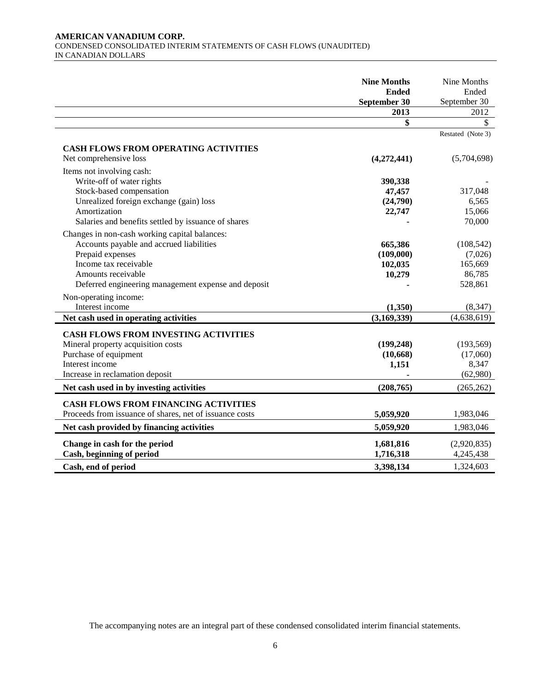#### **AMERICAN VANADIUM CORP.**  CONDENSED CONSOLIDATED INTERIM STATEMENTS OF CASH FLOWS (UNAUDITED) IN CANADIAN DOLLARS

|                                                         | <b>Nine Months</b><br><b>Ended</b><br>September 30 | Nine Months<br>Ended<br>September 30 |
|---------------------------------------------------------|----------------------------------------------------|--------------------------------------|
|                                                         | 2013                                               | 2012                                 |
|                                                         | \$                                                 | $\mathbb{S}$                         |
|                                                         |                                                    | Restated (Note 3)                    |
| <b>CASH FLOWS FROM OPERATING ACTIVITIES</b>             |                                                    |                                      |
| Net comprehensive loss                                  | (4,272,441)                                        | (5,704,698)                          |
| Items not involving cash:                               |                                                    |                                      |
| Write-off of water rights                               | 390,338                                            |                                      |
| Stock-based compensation                                | 47,457                                             | 317,048                              |
| Unrealized foreign exchange (gain) loss                 | (24,790)                                           | 6,565                                |
| Amortization                                            | 22,747                                             | 15,066                               |
| Salaries and benefits settled by issuance of shares     |                                                    | 70,000                               |
| Changes in non-cash working capital balances:           |                                                    |                                      |
| Accounts payable and accrued liabilities                | 665,386                                            | (108, 542)                           |
| Prepaid expenses                                        | (109,000)                                          | (7,026)                              |
| Income tax receivable                                   | 102,035                                            | 165,669                              |
| Amounts receivable                                      | 10,279                                             | 86,785                               |
| Deferred engineering management expense and deposit     |                                                    | 528,861                              |
| Non-operating income:                                   |                                                    |                                      |
| Interest income                                         | (1,350)                                            | (8, 347)                             |
| Net cash used in operating activities                   | (3,169,339)                                        | (4,638,619)                          |
| <b>CASH FLOWS FROM INVESTING ACTIVITIES</b>             |                                                    |                                      |
| Mineral property acquisition costs                      | (199, 248)                                         | (193, 569)                           |
| Purchase of equipment                                   | (10, 668)                                          | (17,060)                             |
| Interest income                                         | 1,151                                              | 8,347                                |
| Increase in reclamation deposit                         |                                                    | (62,980)                             |
| Net cash used in by investing activities                | (208, 765)                                         | (265, 262)                           |
| <b>CASH FLOWS FROM FINANCING ACTIVITIES</b>             |                                                    |                                      |
| Proceeds from issuance of shares, net of issuance costs | 5,059,920                                          | 1,983,046                            |
|                                                         |                                                    |                                      |
| Net cash provided by financing activities               | 5,059,920                                          | 1,983,046                            |
| Change in cash for the period                           | 1,681,816                                          | (2,920,835)                          |
| Cash, beginning of period                               | 1,716,318                                          | 4,245,438                            |
| Cash, end of period                                     | 3,398,134                                          | 1,324,603                            |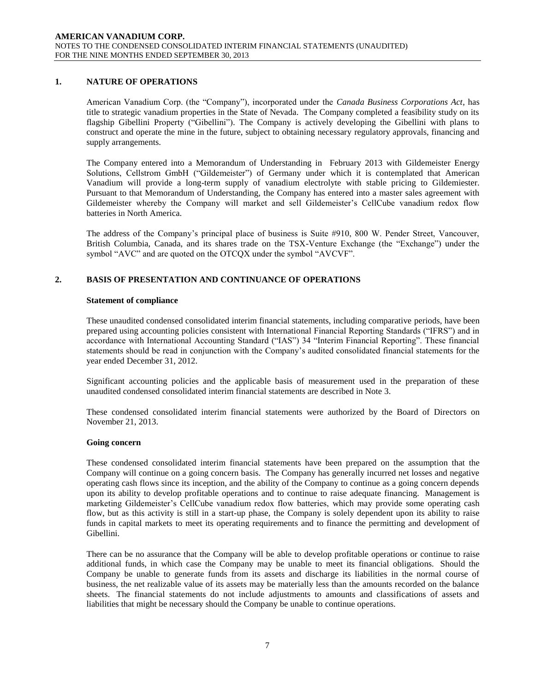# **1. NATURE OF OPERATIONS**

American Vanadium Corp. (the "Company"), incorporated under the *Canada Business Corporations Act*, has title to strategic vanadium properties in the State of Nevada. The Company completed a feasibility study on its flagship Gibellini Property ("Gibellini"). The Company is actively developing the Gibellini with plans to construct and operate the mine in the future, subject to obtaining necessary regulatory approvals, financing and supply arrangements.

The Company entered into a Memorandum of Understanding in February 2013 with Gildemeister Energy Solutions, Cellstrom GmbH ("Gildemeister") of Germany under which it is contemplated that American Vanadium will provide a long-term supply of vanadium electrolyte with stable pricing to Gildemiester. Pursuant to that Memorandum of Understanding, the Company has entered into a master sales agreement with Gildemeister whereby the Company will market and sell Gildemeister's CellCube vanadium redox flow batteries in North America.

The address of the Company's principal place of business is Suite #910, 800 W. Pender Street, Vancouver, British Columbia, Canada, and its shares trade on the TSX-Venture Exchange (the "Exchange") under the symbol "AVC" and are quoted on the OTCQX under the symbol "AVCVF".

# **2. BASIS OF PRESENTATION AND CONTINUANCE OF OPERATIONS**

#### **Statement of compliance**

These unaudited condensed consolidated interim financial statements, including comparative periods, have been prepared using accounting policies consistent with International Financial Reporting Standards ("IFRS") and in accordance with International Accounting Standard ("IAS") 34 "Interim Financial Reporting". These financial statements should be read in conjunction with the Company's audited consolidated financial statements for the year ended December 31, 2012.

Significant accounting policies and the applicable basis of measurement used in the preparation of these unaudited condensed consolidated interim financial statements are described in Note 3.

These condensed consolidated interim financial statements were authorized by the Board of Directors on November 21, 2013.

#### **Going concern**

These condensed consolidated interim financial statements have been prepared on the assumption that the Company will continue on a going concern basis. The Company has generally incurred net losses and negative operating cash flows since its inception, and the ability of the Company to continue as a going concern depends upon its ability to develop profitable operations and to continue to raise adequate financing. Management is marketing Gildemeister's CellCube vanadium redox flow batteries, which may provide some operating cash flow, but as this activity is still in a start-up phase, the Company is solely dependent upon its ability to raise funds in capital markets to meet its operating requirements and to finance the permitting and development of Gibellini.

There can be no assurance that the Company will be able to develop profitable operations or continue to raise additional funds, in which case the Company may be unable to meet its financial obligations. Should the Company be unable to generate funds from its assets and discharge its liabilities in the normal course of business, the net realizable value of its assets may be materially less than the amounts recorded on the balance sheets. The financial statements do not include adjustments to amounts and classifications of assets and liabilities that might be necessary should the Company be unable to continue operations.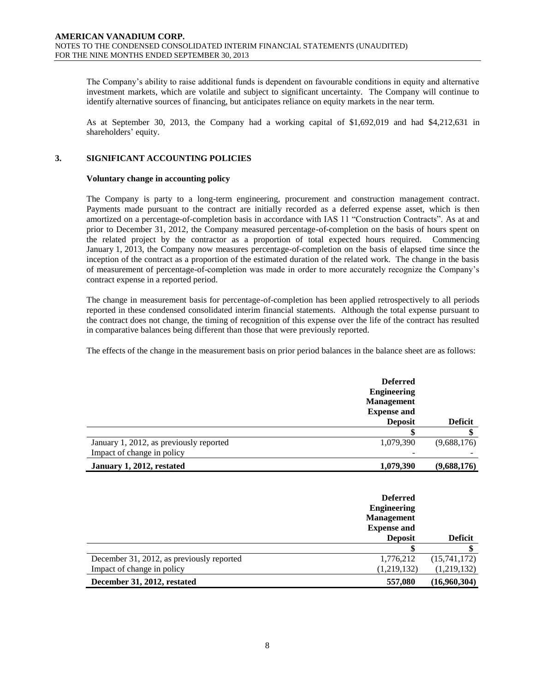The Company's ability to raise additional funds is dependent on favourable conditions in equity and alternative investment markets, which are volatile and subject to significant uncertainty. The Company will continue to identify alternative sources of financing, but anticipates reliance on equity markets in the near term.

As at September 30, 2013, the Company had a working capital of \$1,692,019 and had \$4,212,631 in shareholders' equity.

# **3. SIGNIFICANT ACCOUNTING POLICIES**

#### **Voluntary change in accounting policy**

The Company is party to a long-term engineering, procurement and construction management contract. Payments made pursuant to the contract are initially recorded as a deferred expense asset, which is then amortized on a percentage-of-completion basis in accordance with IAS 11 "Construction Contracts". As at and prior to December 31, 2012, the Company measured percentage-of-completion on the basis of hours spent on the related project by the contractor as a proportion of total expected hours required. Commencing January 1, 2013, the Company now measures percentage-of-completion on the basis of elapsed time since the inception of the contract as a proportion of the estimated duration of the related work. The change in the basis of measurement of percentage-of-completion was made in order to more accurately recognize the Company's contract expense in a reported period.

The change in measurement basis for percentage-of-completion has been applied retrospectively to all periods reported in these condensed consolidated interim financial statements. Although the total expense pursuant to the contract does not change, the timing of recognition of this expense over the life of the contract has resulted in comparative balances being different than those that were previously reported.

The effects of the change in the measurement basis on prior period balances in the balance sheet are as follows:

|                                         | <b>Deferred</b><br><b>Engineering</b><br><b>Management</b><br><b>Expense and</b><br><b>Deposit</b> | <b>Deficit</b> |
|-----------------------------------------|----------------------------------------------------------------------------------------------------|----------------|
|                                         |                                                                                                    |                |
| January 1, 2012, as previously reported | 1,079,390                                                                                          | (9,688,176)    |
| Impact of change in policy              |                                                                                                    |                |
| January 1, 2012, restated               | 1,079,390                                                                                          | (9,688,176)    |

|                                           | <b>Deferred</b><br><b>Engineering</b><br><b>Management</b><br><b>Expense and</b><br><b>Deposit</b> | <b>Deficit</b> |
|-------------------------------------------|----------------------------------------------------------------------------------------------------|----------------|
|                                           |                                                                                                    |                |
| December 31, 2012, as previously reported | 1,776,212                                                                                          | (15,741,172)   |
| Impact of change in policy                | (1,219,132)                                                                                        | (1,219,132)    |
| December 31, 2012, restated               | 557,080                                                                                            | (16,960,304)   |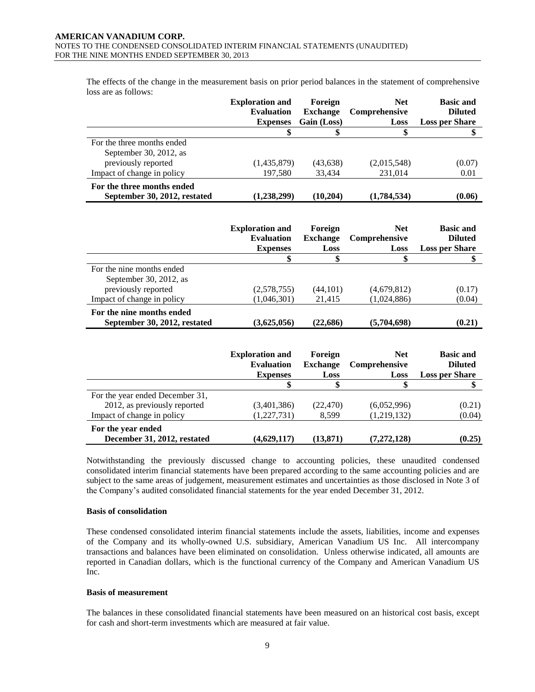The effects of the change in the measurement basis on prior period balances in the statement of comprehensive loss are as follows:

|                                                            | <b>Exploration and</b><br><b>Evaluation</b><br><b>Expenses</b> | Foreign<br><b>Exchange</b><br>Gain (Loss) | <b>Net</b><br><b>Comprehensive</b><br>Loss | <b>Basic and</b><br><b>Diluted</b><br><b>Loss per Share</b> |
|------------------------------------------------------------|----------------------------------------------------------------|-------------------------------------------|--------------------------------------------|-------------------------------------------------------------|
|                                                            |                                                                |                                           | \$                                         |                                                             |
| For the three months ended                                 |                                                                |                                           |                                            |                                                             |
| September 30, 2012, as                                     |                                                                |                                           |                                            |                                                             |
| previously reported                                        | (1,435,879)                                                    | (43, 638)                                 | (2,015,548)                                | (0.07)                                                      |
| Impact of change in policy                                 | 197,580                                                        | 33.434                                    | 231,014                                    | 0.01                                                        |
| For the three months ended<br>September 30, 2012, restated | (1,238,299)                                                    | (10.204)                                  | (1,784,534)                                | (0.06)                                                      |

|                              | <b>Exploration and</b><br><b>Evaluation</b><br><b>Expenses</b> | Foreign<br><b>Exchange</b><br>Loss | <b>Net</b><br>Comprehensive<br>Loss | <b>Basic and</b><br><b>Diluted</b><br><b>Loss per Share</b> |
|------------------------------|----------------------------------------------------------------|------------------------------------|-------------------------------------|-------------------------------------------------------------|
|                              |                                                                |                                    |                                     |                                                             |
| For the nine months ended    |                                                                |                                    |                                     |                                                             |
| September 30, 2012, as       |                                                                |                                    |                                     |                                                             |
| previously reported          | (2,578,755)                                                    | (44, 101)                          | (4,679,812)                         | (0.17)                                                      |
| Impact of change in policy   | (1,046,301)                                                    | 21,415                             | (1,024,886)                         | (0.04)                                                      |
| For the nine months ended    |                                                                |                                    |                                     |                                                             |
| September 30, 2012, restated | (3,625,056)                                                    | (22,686)                           | (5,704,698)                         | (0.21)                                                      |

|                                                   | <b>Exploration and</b><br><b>Evaluation</b><br><b>Expenses</b> | Foreign<br><b>Exchange</b><br>Loss | <b>Net</b><br>Comprehensive<br>Loss | <b>Basic and</b><br><b>Diluted</b><br><b>Loss per Share</b> |
|---------------------------------------------------|----------------------------------------------------------------|------------------------------------|-------------------------------------|-------------------------------------------------------------|
|                                                   | \$                                                             |                                    |                                     |                                                             |
| For the year ended December 31,                   |                                                                |                                    |                                     |                                                             |
| 2012, as previously reported                      | (3,401,386)                                                    | (22, 470)                          | (6,052,996)                         | (0.21)                                                      |
| Impact of change in policy                        | (1,227,731)                                                    | 8,599                              | (1,219,132)                         | (0.04)                                                      |
| For the year ended<br>December 31, 2012, restated | (4,629,117)                                                    | (13, 871)                          | (7, 272, 128)                       | (0.25)                                                      |

Notwithstanding the previously discussed change to accounting policies, these unaudited condensed consolidated interim financial statements have been prepared according to the same accounting policies and are subject to the same areas of judgement, measurement estimates and uncertainties as those disclosed in Note 3 of the Company's audited consolidated financial statements for the year ended December 31, 2012.

#### **Basis of consolidation**

These condensed consolidated interim financial statements include the assets, liabilities, income and expenses of the Company and its wholly-owned U.S. subsidiary, American Vanadium US Inc. All intercompany transactions and balances have been eliminated on consolidation. Unless otherwise indicated, all amounts are reported in Canadian dollars, which is the functional currency of the Company and American Vanadium US Inc.

#### **Basis of measurement**

The balances in these consolidated financial statements have been measured on an historical cost basis, except for cash and short-term investments which are measured at fair value.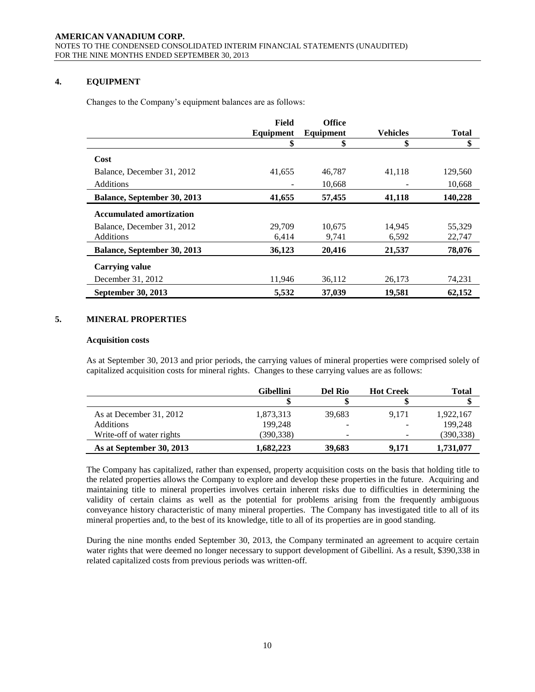# **4. EQUIPMENT**

Changes to the Company's equipment balances are as follows:

|                                 | Field     | <b>Office</b> |                 |              |
|---------------------------------|-----------|---------------|-----------------|--------------|
|                                 | Equipment | Equipment     | <b>Vehicles</b> | <b>Total</b> |
|                                 | \$        | \$            | \$              | \$           |
| Cost                            |           |               |                 |              |
| Balance, December 31, 2012      | 41,655    | 46,787        | 41,118          | 129,560      |
| <b>Additions</b>                |           | 10,668        |                 | 10,668       |
| Balance, September 30, 2013     | 41,655    | 57,455        | 41,118          | 140,228      |
| <b>Accumulated amortization</b> |           |               |                 |              |
| Balance, December 31, 2012      | 29,709    | 10.675        | 14,945          | 55,329       |
| Additions                       | 6,414     | 9,741         | 6,592           | 22,747       |
| Balance, September 30, 2013     | 36,123    | 20,416        | 21,537          | 78,076       |
| <b>Carrying value</b>           |           |               |                 |              |
| December 31, 2012               | 11,946    | 36,112        | 26,173          | 74,231       |
| September 30, 2013              | 5,532     | 37,039        | 19,581          | 62.152       |

# **5. MINERAL PROPERTIES**

#### **Acquisition costs**

As at September 30, 2013 and prior periods, the carrying values of mineral properties were comprised solely of capitalized acquisition costs for mineral rights. Changes to these carrying values are as follows:

|                           | <b>Gibellini</b> | Del Rio                  | <b>Hot Creek</b> | Total      |
|---------------------------|------------------|--------------------------|------------------|------------|
|                           |                  |                          |                  |            |
| As at December 31, 2012   | 1,873,313        | 39.683                   | 9.171            | 1,922,167  |
| Additions                 | 199,248          | $\overline{\phantom{a}}$ |                  | 199,248    |
| Write-off of water rights | (390,338)        |                          |                  | (390, 338) |
| As at September 30, 2013  | 1,682,223        | 39,683                   | 9.171            | 1,731,077  |

The Company has capitalized, rather than expensed, property acquisition costs on the basis that holding title to the related properties allows the Company to explore and develop these properties in the future. Acquiring and maintaining title to mineral properties involves certain inherent risks due to difficulties in determining the validity of certain claims as well as the potential for problems arising from the frequently ambiguous conveyance history characteristic of many mineral properties. The Company has investigated title to all of its mineral properties and, to the best of its knowledge, title to all of its properties are in good standing.

During the nine months ended September 30, 2013, the Company terminated an agreement to acquire certain water rights that were deemed no longer necessary to support development of Gibellini. As a result, \$390,338 in related capitalized costs from previous periods was written-off.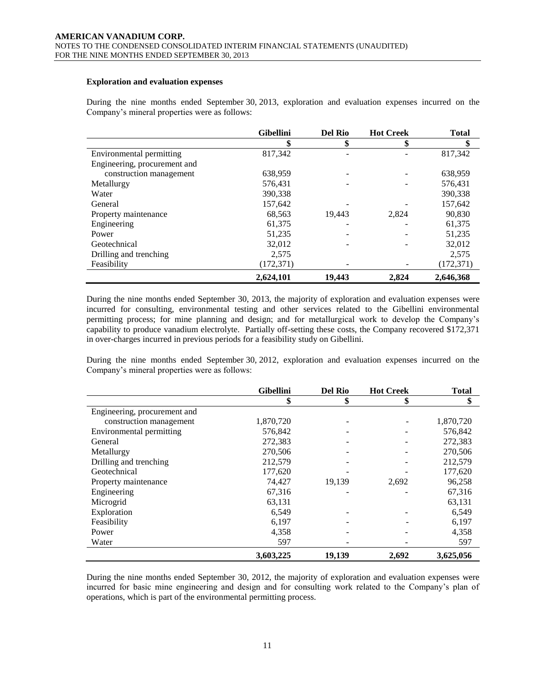#### **Exploration and evaluation expenses**

During the nine months ended September 30, 2013, exploration and evaluation expenses incurred on the Company's mineral properties were as follows:

|                              | <b>Gibellini</b> | <b>Del Rio</b> | <b>Hot Creek</b> | <b>Total</b> |
|------------------------------|------------------|----------------|------------------|--------------|
|                              | \$               | \$             |                  | \$           |
| Environmental permitting     | 817,342          |                |                  | 817,342      |
| Engineering, procurement and |                  |                |                  |              |
| construction management      | 638,959          |                |                  | 638,959      |
| Metallurgy                   | 576,431          |                |                  | 576,431      |
| Water                        | 390,338          |                |                  | 390,338      |
| General                      | 157,642          |                |                  | 157,642      |
| Property maintenance         | 68,563           | 19,443         | 2,824            | 90,830       |
| Engineering                  | 61,375           |                |                  | 61,375       |
| Power                        | 51,235           |                |                  | 51,235       |
| Geotechnical                 | 32.012           |                |                  | 32,012       |
| Drilling and trenching       | 2.575            |                |                  | 2,575        |
| Feasibility                  | (172, 371)       |                |                  | (172, 371)   |
|                              | 2,624,101        | 19,443         | 2,824            | 2,646,368    |

During the nine months ended September 30, 2013, the majority of exploration and evaluation expenses were incurred for consulting, environmental testing and other services related to the Gibellini environmental permitting process; for mine planning and design; and for metallurgical work to develop the Company's capability to produce vanadium electrolyte. Partially off-setting these costs, the Company recovered \$172,371 in over-charges incurred in previous periods for a feasibility study on Gibellini.

During the nine months ended September 30, 2012, exploration and evaluation expenses incurred on the Company's mineral properties were as follows:

|                              | <b>Gibellini</b> | <b>Del Rio</b> | <b>Hot Creek</b> | <b>Total</b> |
|------------------------------|------------------|----------------|------------------|--------------|
|                              | \$               | \$             | \$               | \$           |
| Engineering, procurement and |                  |                |                  |              |
| construction management      | 1,870,720        |                |                  | 1,870,720    |
| Environmental permitting     | 576,842          |                |                  | 576,842      |
| General                      | 272,383          |                |                  | 272,383      |
| Metallurgy                   | 270,506          |                |                  | 270,506      |
| Drilling and trenching       | 212,579          |                |                  | 212,579      |
| Geotechnical                 | 177,620          |                |                  | 177,620      |
| Property maintenance         | 74,427           | 19,139         | 2,692            | 96,258       |
| Engineering                  | 67,316           |                |                  | 67,316       |
| Microgrid                    | 63,131           |                |                  | 63,131       |
| Exploration                  | 6,549            |                |                  | 6,549        |
| Feasibility                  | 6,197            |                |                  | 6,197        |
| Power                        | 4,358            |                |                  | 4,358        |
| Water                        | 597              |                |                  | 597          |
|                              | 3,603,225        | 19,139         | 2,692            | 3,625,056    |

During the nine months ended September 30, 2012, the majority of exploration and evaluation expenses were incurred for basic mine engineering and design and for consulting work related to the Company's plan of operations, which is part of the environmental permitting process.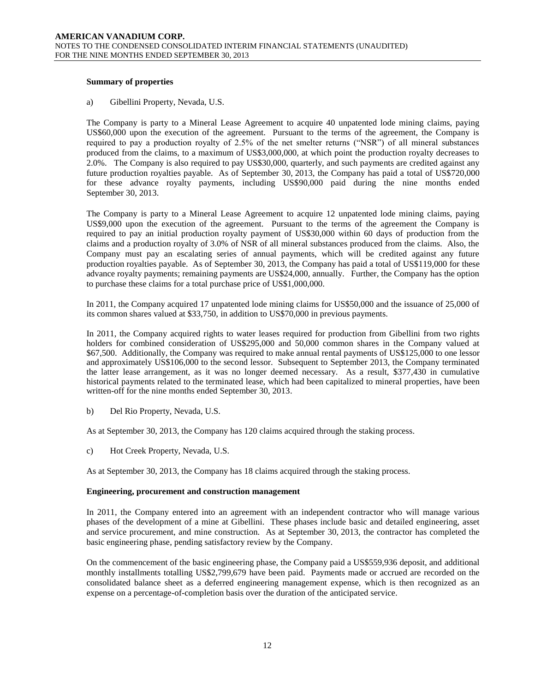#### **Summary of properties**

a) Gibellini Property, Nevada, U.S.

The Company is party to a Mineral Lease Agreement to acquire 40 unpatented lode mining claims, paying US\$60,000 upon the execution of the agreement. Pursuant to the terms of the agreement, the Company is required to pay a production royalty of 2.5% of the net smelter returns ("NSR") of all mineral substances produced from the claims, to a maximum of US\$3,000,000, at which point the production royalty decreases to 2.0%. The Company is also required to pay US\$30,000, quarterly, and such payments are credited against any future production royalties payable. As of September 30, 2013, the Company has paid a total of US\$720,000 for these advance royalty payments, including US\$90,000 paid during the nine months ended September 30, 2013.

The Company is party to a Mineral Lease Agreement to acquire 12 unpatented lode mining claims, paying US\$9,000 upon the execution of the agreement. Pursuant to the terms of the agreement the Company is required to pay an initial production royalty payment of US\$30,000 within 60 days of production from the claims and a production royalty of 3.0% of NSR of all mineral substances produced from the claims. Also, the Company must pay an escalating series of annual payments, which will be credited against any future production royalties payable. As of September 30, 2013, the Company has paid a total of US\$119,000 for these advance royalty payments; remaining payments are US\$24,000, annually. Further, the Company has the option to purchase these claims for a total purchase price of US\$1,000,000.

In 2011, the Company acquired 17 unpatented lode mining claims for US\$50,000 and the issuance of 25,000 of its common shares valued at \$33,750, in addition to US\$70,000 in previous payments.

In 2011, the Company acquired rights to water leases required for production from Gibellini from two rights holders for combined consideration of US\$295,000 and 50,000 common shares in the Company valued at \$67,500. Additionally, the Company was required to make annual rental payments of US\$125,000 to one lessor and approximately US\$106,000 to the second lessor. Subsequent to September 2013, the Company terminated the latter lease arrangement, as it was no longer deemed necessary. As a result, \$377,430 in cumulative historical payments related to the terminated lease, which had been capitalized to mineral properties, have been written-off for the nine months ended September 30, 2013.

b) Del Rio Property, Nevada, U.S.

As at September 30, 2013, the Company has 120 claims acquired through the staking process.

c) Hot Creek Property, Nevada, U.S.

As at September 30, 2013, the Company has 18 claims acquired through the staking process.

#### **Engineering, procurement and construction management**

In 2011, the Company entered into an agreement with an independent contractor who will manage various phases of the development of a mine at Gibellini. These phases include basic and detailed engineering, asset and service procurement, and mine construction. As at September 30, 2013, the contractor has completed the basic engineering phase, pending satisfactory review by the Company.

On the commencement of the basic engineering phase, the Company paid a US\$559,936 deposit, and additional monthly installments totalling US\$2,799,679 have been paid. Payments made or accrued are recorded on the consolidated balance sheet as a deferred engineering management expense, which is then recognized as an expense on a percentage-of-completion basis over the duration of the anticipated service.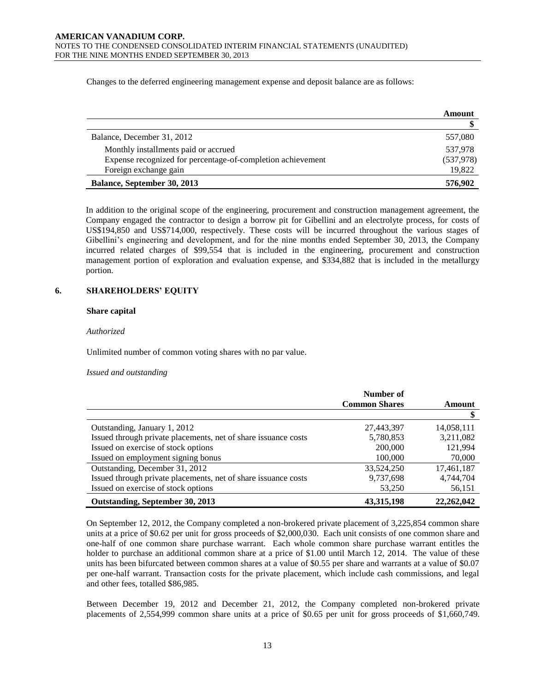Changes to the deferred engineering management expense and deposit balance are as follows:

|                                                             | Amount     |
|-------------------------------------------------------------|------------|
|                                                             |            |
| Balance, December 31, 2012                                  | 557,080    |
| Monthly installments paid or accrued                        | 537,978    |
| Expense recognized for percentage-of-completion achievement | (537, 978) |
| Foreign exchange gain                                       | 19,822     |
| Balance, September 30, 2013                                 | 576,902    |

In addition to the original scope of the engineering, procurement and construction management agreement, the Company engaged the contractor to design a borrow pit for Gibellini and an electrolyte process, for costs of US\$194,850 and US\$714,000, respectively. These costs will be incurred throughout the various stages of Gibellini's engineering and development, and for the nine months ended September 30, 2013, the Company incurred related charges of \$99,554 that is included in the engineering, procurement and construction management portion of exploration and evaluation expense, and \$334,882 that is included in the metallurgy portion.

#### **6. SHAREHOLDERS' EQUITY**

#### **Share capital**

*Authorized*

Unlimited number of common voting shares with no par value.

#### *Issued and outstanding*

|                                                                | Number of            |              |
|----------------------------------------------------------------|----------------------|--------------|
|                                                                | <b>Common Shares</b> | Amount       |
|                                                                |                      | \$           |
| Outstanding, January 1, 2012                                   | 27,443,397           | 14,058,111   |
| Issued through private placements, net of share issuance costs | 5,780,853            | 3,211,082    |
| Issued on exercise of stock options                            | 200,000              | 121,994      |
| Issued on employment signing bonus                             | 100,000              | 70,000       |
| Outstanding, December 31, 2012                                 | 33,524,250           | 17,461,187   |
| Issued through private placements, net of share issuance costs | 9,737,698            | 4,744,704    |
| Issued on exercise of stock options                            | 53,250               | 56,151       |
| Outstanding, September 30, 2013                                | 43, 315, 198         | 22, 262, 042 |

On September 12, 2012, the Company completed a non-brokered private placement of 3,225,854 common share units at a price of \$0.62 per unit for gross proceeds of \$2,000,030. Each unit consists of one common share and one-half of one common share purchase warrant. Each whole common share purchase warrant entitles the holder to purchase an additional common share at a price of \$1.00 until March 12, 2014. The value of these units has been bifurcated between common shares at a value of \$0.55 per share and warrants at a value of \$0.07 per one-half warrant. Transaction costs for the private placement, which include cash commissions, and legal and other fees, totalled \$86,985.

Between December 19, 2012 and December 21, 2012, the Company completed non-brokered private placements of 2,554,999 common share units at a price of \$0.65 per unit for gross proceeds of \$1,660,749.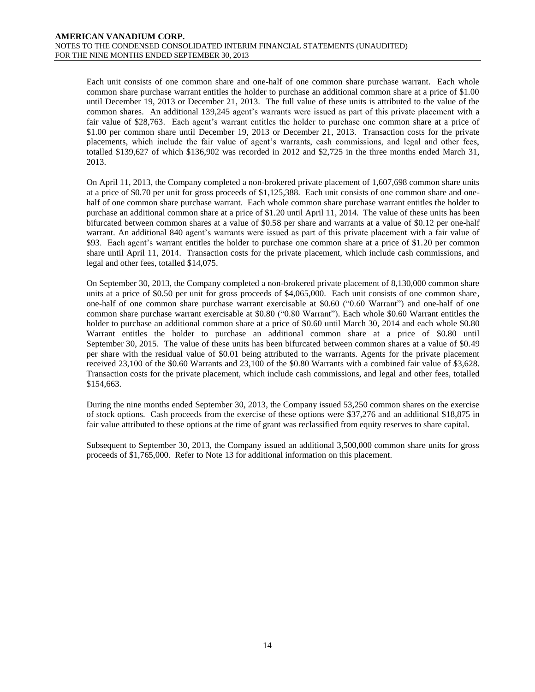Each unit consists of one common share and one-half of one common share purchase warrant. Each whole common share purchase warrant entitles the holder to purchase an additional common share at a price of \$1.00 until December 19, 2013 or December 21, 2013. The full value of these units is attributed to the value of the common shares. An additional 139,245 agent's warrants were issued as part of this private placement with a fair value of \$28,763. Each agent's warrant entitles the holder to purchase one common share at a price of \$1.00 per common share until December 19, 2013 or December 21, 2013. Transaction costs for the private placements, which include the fair value of agent's warrants, cash commissions, and legal and other fees, totalled \$139,627 of which \$136,902 was recorded in 2012 and \$2,725 in the three months ended March 31, 2013.

On April 11, 2013, the Company completed a non-brokered private placement of 1,607,698 common share units at a price of \$0.70 per unit for gross proceeds of \$1,125,388. Each unit consists of one common share and onehalf of one common share purchase warrant. Each whole common share purchase warrant entitles the holder to purchase an additional common share at a price of \$1.20 until April 11, 2014. The value of these units has been bifurcated between common shares at a value of \$0.58 per share and warrants at a value of \$0.12 per one-half warrant. An additional 840 agent's warrants were issued as part of this private placement with a fair value of \$93. Each agent's warrant entitles the holder to purchase one common share at a price of \$1.20 per common share until April 11, 2014. Transaction costs for the private placement, which include cash commissions, and legal and other fees, totalled \$14,075.

On September 30, 2013, the Company completed a non-brokered private placement of 8,130,000 common share units at a price of \$0.50 per unit for gross proceeds of \$4,065,000. Each unit consists of one common share, one-half of one common share purchase warrant exercisable at \$0.60 ("0.60 Warrant") and one-half of one common share purchase warrant exercisable at \$0.80 ("0.80 Warrant"). Each whole \$0.60 Warrant entitles the holder to purchase an additional common share at a price of \$0.60 until March 30, 2014 and each whole \$0.80 Warrant entitles the holder to purchase an additional common share at a price of \$0.80 until September 30, 2015. The value of these units has been bifurcated between common shares at a value of \$0.49 per share with the residual value of \$0.01 being attributed to the warrants. Agents for the private placement received 23,100 of the \$0.60 Warrants and 23,100 of the \$0.80 Warrants with a combined fair value of \$3,628. Transaction costs for the private placement, which include cash commissions, and legal and other fees, totalled \$154,663.

During the nine months ended September 30, 2013, the Company issued 53,250 common shares on the exercise of stock options. Cash proceeds from the exercise of these options were \$37,276 and an additional \$18,875 in fair value attributed to these options at the time of grant was reclassified from equity reserves to share capital.

Subsequent to September 30, 2013, the Company issued an additional 3,500,000 common share units for gross proceeds of \$1,765,000. Refer to Note 13 for additional information on this placement.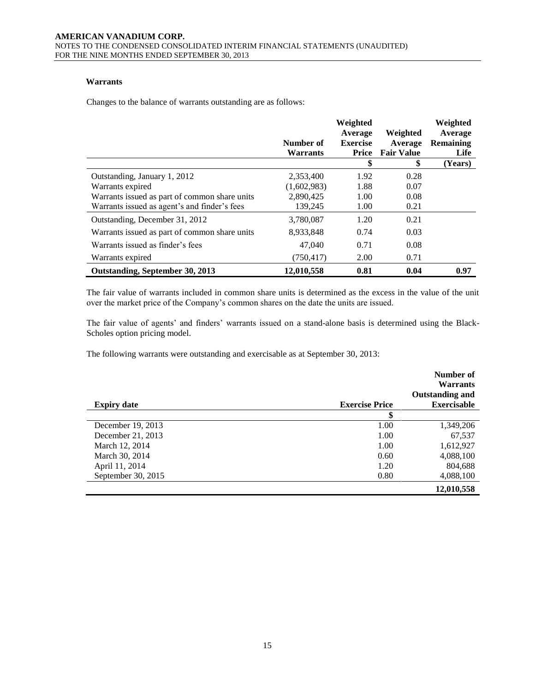# **Warrants**

Changes to the balance of warrants outstanding are as follows:

|                                               | Number of<br><b>Warrants</b> | Weighted<br>Average<br><b>Exercise</b><br>Price | Weighted<br>Average<br><b>Fair Value</b> | Weighted<br>Average<br><b>Remaining</b><br>Life |
|-----------------------------------------------|------------------------------|-------------------------------------------------|------------------------------------------|-------------------------------------------------|
|                                               |                              | \$                                              | \$                                       | (Years)                                         |
| Outstanding, January 1, 2012                  | 2,353,400                    | 1.92                                            | 0.28                                     |                                                 |
| Warrants expired                              | (1,602,983)                  | 1.88                                            | 0.07                                     |                                                 |
| Warrants issued as part of common share units | 2,890,425                    | 1.00                                            | 0.08                                     |                                                 |
| Warrants issued as agent's and finder's fees  | 139,245                      | 1.00                                            | 0.21                                     |                                                 |
| Outstanding, December 31, 2012                | 3,780,087                    | 1.20                                            | 0.21                                     |                                                 |
| Warrants issued as part of common share units | 8,933,848                    | 0.74                                            | 0.03                                     |                                                 |
| Warrants issued as finder's fees              | 47,040                       | 0.71                                            | 0.08                                     |                                                 |
| Warrants expired                              | (750, 417)                   | 2.00                                            | 0.71                                     |                                                 |
| Outstanding, September 30, 2013               | 12,010,558                   | 0.81                                            | 0.04                                     | 0.97                                            |

The fair value of warrants included in common share units is determined as the excess in the value of the unit over the market price of the Company's common shares on the date the units are issued.

The fair value of agents' and finders' warrants issued on a stand-alone basis is determined using the Black-Scholes option pricing model.

The following warrants were outstanding and exercisable as at September 30, 2013:

|                    |                       | Number of<br><b>Warrants</b> |
|--------------------|-----------------------|------------------------------|
|                    |                       | <b>Outstanding and</b>       |
| <b>Expiry date</b> | <b>Exercise Price</b> | <b>Exercisable</b>           |
|                    | \$                    |                              |
| December 19, 2013  | 1.00                  | 1,349,206                    |
| December 21, 2013  | 1.00                  | 67,537                       |
| March 12, 2014     | 1.00                  | 1,612,927                    |
| March 30, 2014     | 0.60                  | 4,088,100                    |
| April 11, 2014     | 1.20                  | 804,688                      |
| September 30, 2015 | 0.80                  | 4,088,100                    |
|                    |                       | 12,010,558                   |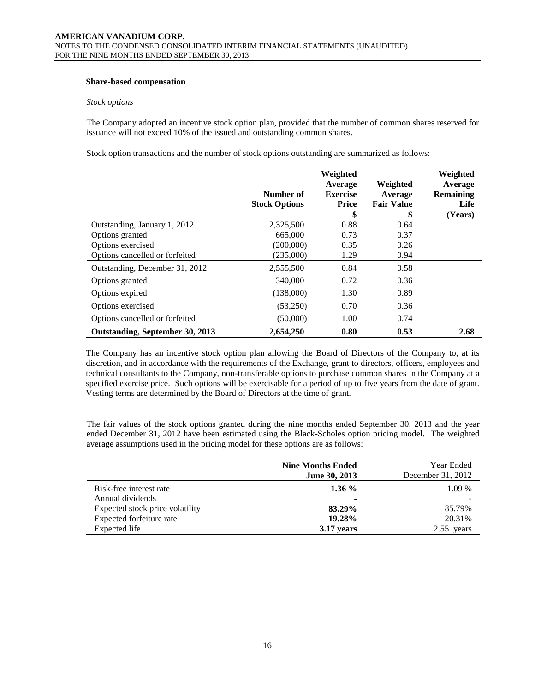### **Share-based compensation**

#### *Stock options*

The Company adopted an incentive stock option plan, provided that the number of common shares reserved for issuance will not exceed 10% of the issued and outstanding common shares.

Stock option transactions and the number of stock options outstanding are summarized as follows:

|                                 | Number of<br><b>Stock Options</b> | Weighted<br>Average<br><b>Exercise</b><br>Price | Weighted<br>Average<br><b>Fair Value</b> | Weighted<br>Average<br><b>Remaining</b><br>Life |
|---------------------------------|-----------------------------------|-------------------------------------------------|------------------------------------------|-------------------------------------------------|
|                                 |                                   | \$                                              | \$                                       | (Years)                                         |
| Outstanding, January 1, 2012    | 2,325,500                         | 0.88                                            | 0.64                                     |                                                 |
| Options granted                 | 665,000                           | 0.73                                            | 0.37                                     |                                                 |
| Options exercised               | (200,000)                         | 0.35                                            | 0.26                                     |                                                 |
| Options cancelled or forfeited  | (235,000)                         | 1.29                                            | 0.94                                     |                                                 |
| Outstanding, December 31, 2012  | 2,555,500                         | 0.84                                            | 0.58                                     |                                                 |
| Options granted                 | 340,000                           | 0.72                                            | 0.36                                     |                                                 |
| Options expired                 | (138,000)                         | 1.30                                            | 0.89                                     |                                                 |
| Options exercised               | (53,250)                          | 0.70                                            | 0.36                                     |                                                 |
| Options cancelled or forfeited  | (50,000)                          | 1.00                                            | 0.74                                     |                                                 |
| Outstanding, September 30, 2013 | 2,654,250                         | 0.80                                            | 0.53                                     | 2.68                                            |

The Company has an incentive stock option plan allowing the Board of Directors of the Company to, at its discretion, and in accordance with the requirements of the Exchange, grant to directors, officers, employees and technical consultants to the Company, non-transferable options to purchase common shares in the Company at a specified exercise price. Such options will be exercisable for a period of up to five years from the date of grant. Vesting terms are determined by the Board of Directors at the time of grant.

The fair values of the stock options granted during the nine months ended September 30, 2013 and the year ended December 31, 2012 have been estimated using the Black-Scholes option pricing model. The weighted average assumptions used in the pricing model for these options are as follows:

|                                 | <b>Nine Months Ended</b><br><b>June 30, 2013</b> | Year Ended<br>December 31, 2012 |
|---------------------------------|--------------------------------------------------|---------------------------------|
| Risk-free interest rate         | $1.36\%$                                         | $1.09\%$                        |
| Annual dividends                | ۰                                                |                                 |
| Expected stock price volatility | 83.29%                                           | 85.79%                          |
| Expected forfeiture rate        | 19.28%                                           | 20.31\%                         |
| Expected life                   | 3.17 years                                       | $2.55$ years                    |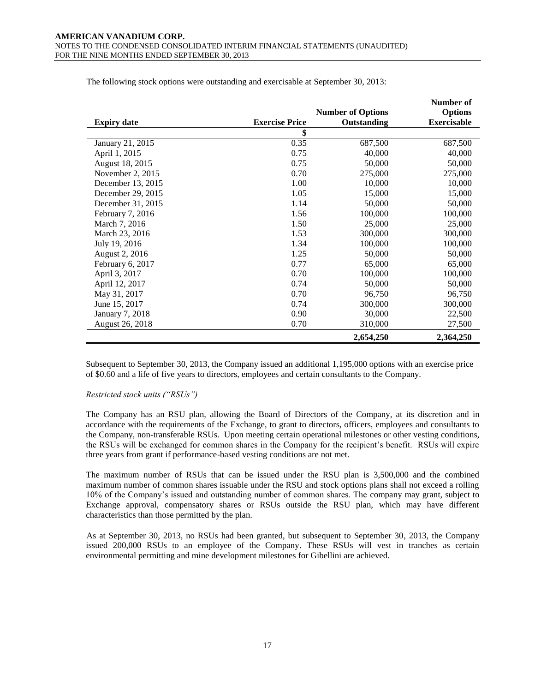|                    |                       |                          | Number of          |
|--------------------|-----------------------|--------------------------|--------------------|
|                    |                       | <b>Number of Options</b> | <b>Options</b>     |
| <b>Expiry date</b> | <b>Exercise Price</b> | Outstanding              | <b>Exercisable</b> |
|                    | \$                    |                          |                    |
| January 21, 2015   | 0.35                  | 687,500                  | 687,500            |
| April 1, 2015      | 0.75                  | 40,000                   | 40,000             |
| August 18, 2015    | 0.75                  | 50,000                   | 50,000             |
| November 2, 2015   | 0.70                  | 275,000                  | 275,000            |
| December 13, 2015  | 1.00                  | 10,000                   | 10,000             |
| December 29, 2015  | 1.05                  | 15,000                   | 15,000             |
| December 31, 2015  | 1.14                  | 50,000                   | 50,000             |
| February 7, 2016   | 1.56                  | 100,000                  | 100,000            |
| March 7, 2016      | 1.50                  | 25,000                   | 25,000             |
| March 23, 2016     | 1.53                  | 300,000                  | 300,000            |
| July 19, 2016      | 1.34                  | 100,000                  | 100,000            |
| August 2, 2016     | 1.25                  | 50,000                   | 50,000             |
| February 6, 2017   | 0.77                  | 65,000                   | 65,000             |
| April 3, 2017      | 0.70                  | 100,000                  | 100,000            |
| April 12, 2017     | 0.74                  | 50,000                   | 50,000             |
| May 31, 2017       | 0.70                  | 96,750                   | 96,750             |
| June 15, 2017      | 0.74                  | 300,000                  | 300,000            |
| January 7, 2018    | 0.90                  | 30,000                   | 22,500             |
| August 26, 2018    | 0.70                  | 310,000                  | 27,500             |
|                    |                       | 2,654,250                | 2,364,250          |

The following stock options were outstanding and exercisable at September 30, 2013:

Subsequent to September 30, 2013, the Company issued an additional 1,195,000 options with an exercise price of \$0.60 and a life of five years to directors, employees and certain consultants to the Company.

#### *Restricted stock units ("RSUs")*

The Company has an RSU plan, allowing the Board of Directors of the Company, at its discretion and in accordance with the requirements of the Exchange, to grant to directors, officers, employees and consultants to the Company, non-transferable RSUs. Upon meeting certain operational milestones or other vesting conditions, the RSUs will be exchanged for common shares in the Company for the recipient's benefit. RSUs will expire three years from grant if performance-based vesting conditions are not met.

The maximum number of RSUs that can be issued under the RSU plan is 3,500,000 and the combined maximum number of common shares issuable under the RSU and stock options plans shall not exceed a rolling 10% of the Company's issued and outstanding number of common shares. The company may grant, subject to Exchange approval, compensatory shares or RSUs outside the RSU plan, which may have different characteristics than those permitted by the plan.

As at September 30, 2013, no RSUs had been granted, but subsequent to September 30, 2013, the Company issued 200,000 RSUs to an employee of the Company. These RSUs will vest in tranches as certain environmental permitting and mine development milestones for Gibellini are achieved.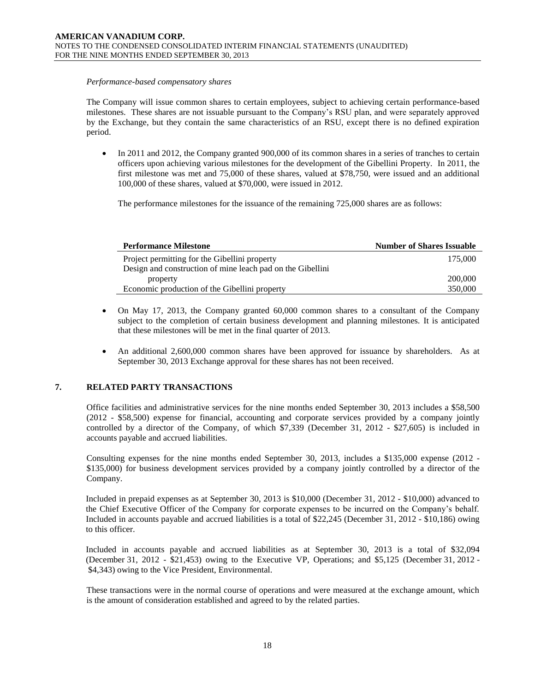#### *Performance-based compensatory shares*

The Company will issue common shares to certain employees, subject to achieving certain performance-based milestones. These shares are not issuable pursuant to the Company's RSU plan, and were separately approved by the Exchange, but they contain the same characteristics of an RSU, except there is no defined expiration period.

• In 2011 and 2012, the Company granted 900,000 of its common shares in a series of tranches to certain officers upon achieving various milestones for the development of the Gibellini Property. In 2011, the first milestone was met and 75,000 of these shares, valued at \$78,750, were issued and an additional 100,000 of these shares, valued at \$70,000, were issued in 2012.

The performance milestones for the issuance of the remaining 725,000 shares are as follows:

| <b>Performance Milestone</b>                               | <b>Number of Shares Issuable</b> |
|------------------------------------------------------------|----------------------------------|
| Project permitting for the Gibellini property              | 175,000                          |
| Design and construction of mine leach pad on the Gibellini |                                  |
| property                                                   | 200,000                          |
| Economic production of the Gibellini property              | 350,000                          |

- On May 17, 2013, the Company granted 60,000 common shares to a consultant of the Company subject to the completion of certain business development and planning milestones. It is anticipated that these milestones will be met in the final quarter of 2013.
- An additional 2,600,000 common shares have been approved for issuance by shareholders. As at September 30, 2013 Exchange approval for these shares has not been received.

# **7. RELATED PARTY TRANSACTIONS**

Office facilities and administrative services for the nine months ended September 30, 2013 includes a \$58,500 (2012 - \$58,500) expense for financial, accounting and corporate services provided by a company jointly controlled by a director of the Company, of which \$7,339 (December 31, 2012 - \$27,605) is included in accounts payable and accrued liabilities.

Consulting expenses for the nine months ended September 30, 2013, includes a \$135,000 expense (2012 - \$135,000) for business development services provided by a company jointly controlled by a director of the Company.

Included in prepaid expenses as at September 30, 2013 is \$10,000 (December 31, 2012 - \$10,000) advanced to the Chief Executive Officer of the Company for corporate expenses to be incurred on the Company's behalf. Included in accounts payable and accrued liabilities is a total of \$22,245 (December 31, 2012 - \$10,186) owing to this officer.

Included in accounts payable and accrued liabilities as at September 30, 2013 is a total of \$32,094 (December 31, 2012 - \$21,453) owing to the Executive VP, Operations; and \$5,125 (December 31, 2012 - \$4,343) owing to the Vice President, Environmental.

These transactions were in the normal course of operations and were measured at the exchange amount, which is the amount of consideration established and agreed to by the related parties.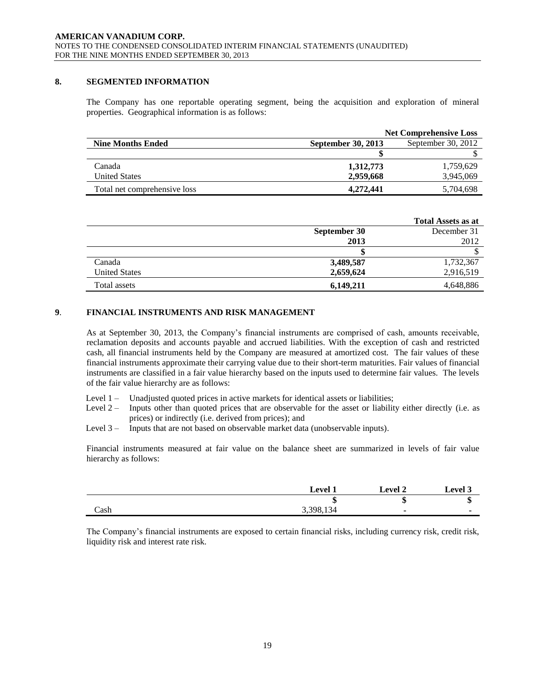### **8. SEGMENTED INFORMATION**

The Company has one reportable operating segment, being the acquisition and exploration of mineral properties. Geographical information is as follows:

|                              | <b>Net Comprehensive Loss</b> |                    |  |
|------------------------------|-------------------------------|--------------------|--|
| <b>Nine Months Ended</b>     | <b>September 30, 2013</b>     | September 30, 2012 |  |
|                              |                               |                    |  |
| Canada                       | 1,312,773                     | 1,759,629          |  |
| <b>United States</b>         | 2,959,668                     | 3,945,069          |  |
| Total net comprehensive loss | 4,272,441                     | 5,704,698          |  |

|                      |              | <b>Total Assets as at</b> |
|----------------------|--------------|---------------------------|
|                      | September 30 | December 31               |
|                      | 2013         | 2012                      |
|                      |              |                           |
| Canada               | 3,489,587    | 1,732,367                 |
| <b>United States</b> | 2,659,624    | 2,916,519                 |
| Total assets         | 6,149,211    | 4,648,886                 |

# **9**. **FINANCIAL INSTRUMENTS AND RISK MANAGEMENT**

As at September 30, 2013, the Company's financial instruments are comprised of cash, amounts receivable, reclamation deposits and accounts payable and accrued liabilities. With the exception of cash and restricted cash, all financial instruments held by the Company are measured at amortized cost. The fair values of these financial instruments approximate their carrying value due to their short-term maturities. Fair values of financial instruments are classified in a fair value hierarchy based on the inputs used to determine fair values. The levels of the fair value hierarchy are as follows:

- Level 1 Unadjusted quoted prices in active markets for identical assets or liabilities;
- Level 2 Inputs other than quoted prices that are observable for the asset or liability either directly (i.e. as prices) or indirectly (i.e. derived from prices); and
- Level 3 Inputs that are not based on observable market data (unobservable inputs).

Financial instruments measured at fair value on the balance sheet are summarized in levels of fair value hierarchy as follows:

|      | <b>Level 1</b> | <b>Level 2</b> | <b>Level 3</b> |
|------|----------------|----------------|----------------|
|      | ۱П             | m<br>۰D        | ۰D             |
| Cash | 3,398,134      | ۰              |                |

The Company's financial instruments are exposed to certain financial risks, including currency risk, credit risk, liquidity risk and interest rate risk.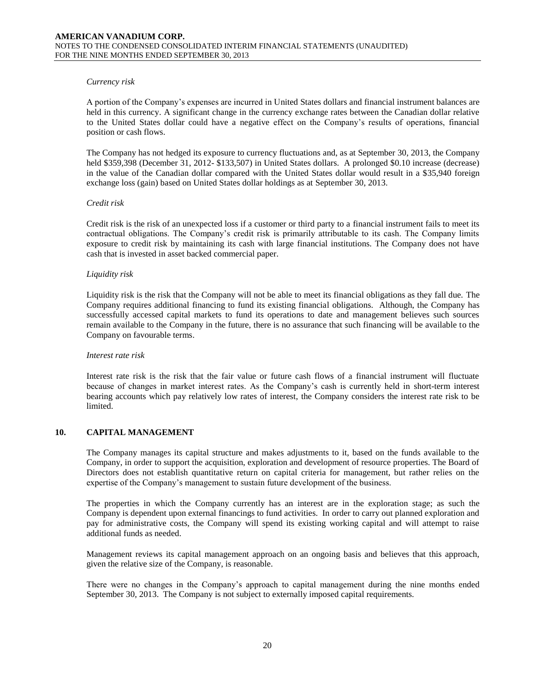#### *Currency risk*

A portion of the Company's expenses are incurred in United States dollars and financial instrument balances are held in this currency. A significant change in the currency exchange rates between the Canadian dollar relative to the United States dollar could have a negative effect on the Company's results of operations, financial position or cash flows.

The Company has not hedged its exposure to currency fluctuations and, as at September 30, 2013, the Company held \$359,398 (December 31, 2012- \$133,507) in United States dollars. A prolonged \$0.10 increase (decrease) in the value of the Canadian dollar compared with the United States dollar would result in a \$35,940 foreign exchange loss (gain) based on United States dollar holdings as at September 30, 2013.

#### *Credit risk*

Credit risk is the risk of an unexpected loss if a customer or third party to a financial instrument fails to meet its contractual obligations. The Company's credit risk is primarily attributable to its cash. The Company limits exposure to credit risk by maintaining its cash with large financial institutions. The Company does not have cash that is invested in asset backed commercial paper.

#### *Liquidity risk*

Liquidity risk is the risk that the Company will not be able to meet its financial obligations as they fall due. The Company requires additional financing to fund its existing financial obligations. Although, the Company has successfully accessed capital markets to fund its operations to date and management believes such sources remain available to the Company in the future, there is no assurance that such financing will be available to the Company on favourable terms.

#### *Interest rate risk*

Interest rate risk is the risk that the fair value or future cash flows of a financial instrument will fluctuate because of changes in market interest rates. As the Company's cash is currently held in short-term interest bearing accounts which pay relatively low rates of interest, the Company considers the interest rate risk to be limited.

# **10. CAPITAL MANAGEMENT**

The Company manages its capital structure and makes adjustments to it, based on the funds available to the Company, in order to support the acquisition, exploration and development of resource properties. The Board of Directors does not establish quantitative return on capital criteria for management, but rather relies on the expertise of the Company's management to sustain future development of the business.

The properties in which the Company currently has an interest are in the exploration stage; as such the Company is dependent upon external financings to fund activities. In order to carry out planned exploration and pay for administrative costs, the Company will spend its existing working capital and will attempt to raise additional funds as needed.

Management reviews its capital management approach on an ongoing basis and believes that this approach, given the relative size of the Company, is reasonable.

There were no changes in the Company's approach to capital management during the nine months ended September 30, 2013. The Company is not subject to externally imposed capital requirements.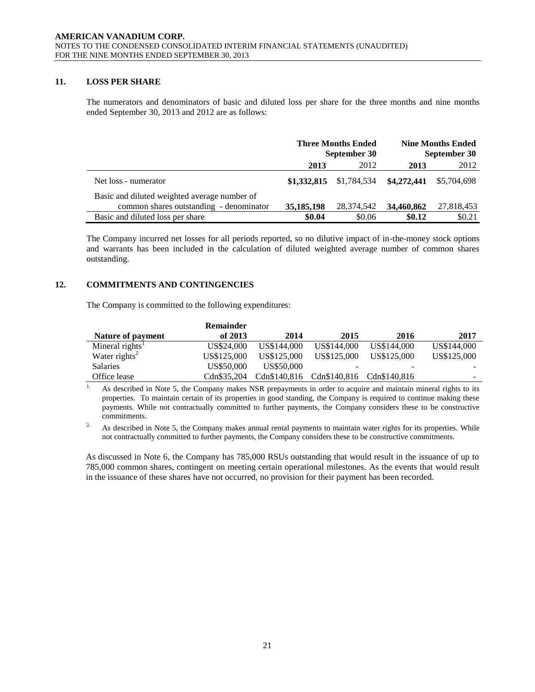### **11. LOSS PER SHARE**

The numerators and denominators of basic and diluted loss per share for the three months and nine months ended September 30, 2013 and 2012 are as follows:

|                                              | <b>Three Months Ended</b><br>September 30 |             | <b>Nine Months Ended</b><br>September 30 |             |
|----------------------------------------------|-------------------------------------------|-------------|------------------------------------------|-------------|
|                                              | 2013                                      | 2012        | 2013                                     | 2012        |
| Net loss - numerator                         | \$1,332,815                               | \$1,784,534 | \$4,272,441                              | \$5,704,698 |
| Basic and diluted weighted average number of |                                           |             |                                          |             |
| common shares outstanding - denominator      | 35, 185, 198                              | 28.374.542  | 34,460,862                               | 27,818,453  |
| Basic and diluted loss per share             | \$0.04                                    | \$0.06      | \$0.12                                   | \$0.21      |

The Company incurred net losses for all periods reported, so no dilutive impact of in-the-money stock options and warrants has been included in the calculation of diluted weighted average number of common shares outstanding.

# **12. COMMITMENTS AND CONTINGENCIES**

The Company is committed to the following expenditures:

|                             | <b>Remainder</b> |              |             |                           |                          |
|-----------------------------|------------------|--------------|-------------|---------------------------|--------------------------|
| Nature of payment           | of $2013$        | 2014         | 2015        | 2016                      | 2017                     |
| Mineral rights <sup>1</sup> | US\$24,000       | US\$144,000  | US\$144,000 | US\$144,000               | US\$144,000              |
| Water rights <sup>2</sup>   | US\$125,000      | US\$125,000  | US\$125,000 | US\$125,000               | US\$125,000              |
| <b>Salaries</b>             | US\$50,000       | US\$50,000   |             |                           |                          |
| Office lease                | Cdn\$35.204      | Cdn\$140.816 |             | Cdn\$140.816 Cdn\$140.816 | $\overline{\phantom{a}}$ |

<sup>1.</sup> As described in Note 5, the Company makes NSR prepayments in order to acquire and maintain mineral rights to its properties. To maintain certain of its properties in good standing, the Company is required to continue making these payments. While not contractually committed to further payments, the Company considers these to be constructive commitments.

<sup>2.</sup> As described in Note 5, the Company makes annual rental payments to maintain water rights for its properties. While not contractually committed to further payments, the Company considers these to be constructive commitments.

As discussed in Note 6, the Company has 785,000 RSUs outstanding that would result in the issuance of up to 785,000 common shares, contingent on meeting certain operational milestones. As the events that would result in the issuance of these shares have not occurred, no provision for their payment has been recorded.